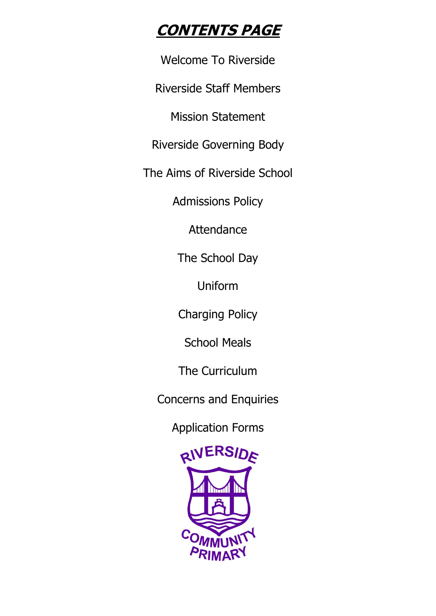# **CONTENTS PAGE**

Welcome To Riverside

Riverside Staff Members

Mission Statement

Riverside Governing Body

The Aims of Riverside School

Admissions Policy

Attendance

The School Day

Uniform

Charging Policy

School Meals

The Curriculum

Concerns and Enquiries

Application Forms

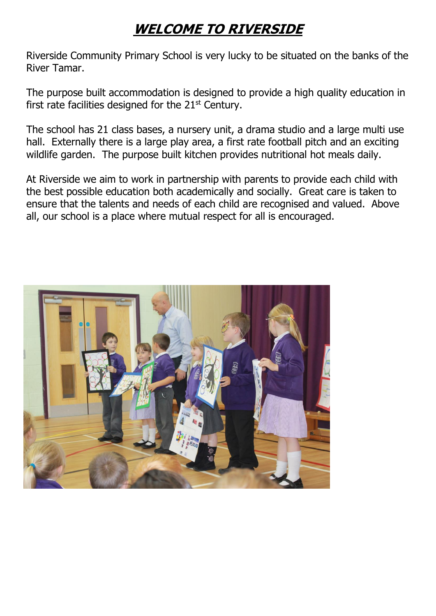# **WELCOME TO RIVERSIDE**

Riverside Community Primary School is very lucky to be situated on the banks of the River Tamar.

The purpose built accommodation is designed to provide a high quality education in first rate facilities designed for the  $21<sup>st</sup>$  Century.

The school has 21 class bases, a nursery unit, a drama studio and a large multi use hall. Externally there is a large play area, a first rate football pitch and an exciting wildlife garden. The purpose built kitchen provides nutritional hot meals daily.

At Riverside we aim to work in partnership with parents to provide each child with the best possible education both academically and socially. Great care is taken to ensure that the talents and needs of each child are recognised and valued. Above all, our school is a place where mutual respect for all is encouraged.

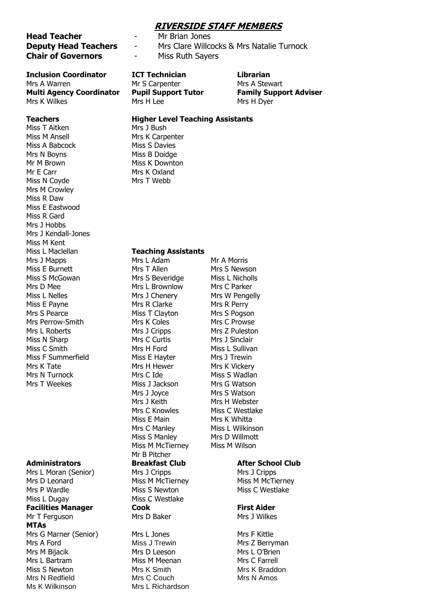#### **RIVERSIDE STAFF MEMBERS**

#### **Head Teacher** - Mr Brian Jones **Deputy Head Teachers** - Mrs Clare Willcocks & Mrs Natalie Turnock **Chair of Governors** - Miss Ruth Sayers

### **Inclusion Coordinator ICT Technician Librarian**

Mrs A Warren Mr S Carpenter Mrs A Stewart **Multi Agency Coordinator Pupil Support Tutor Family Support Adviser** Mrs K Wilkes Mrs H Lee Mrs H Dyer

Miss T Aitken Mrs 1 Bush Miss M Ansell Mrs K Carpenter Miss A Babcock Miss S Davies Mrs N Boyns Miss B Doidge Mr M Brown Miss K Downton Mr E Carr Mrs K Oxland Miss N Coyde Mrs T Webb Mrs M Crowley Miss R Daw Miss E Eastwood Miss R Gard Mrs J Hobbs Mrs J Kendall-Jones Miss M Kent Mrs J Mapps Mrs L Adam Mrs Mr A Morris Miss E Burnett Mrs T Allen Mrs S Newson Miss S McGowan Mrs S Beveridge Miss L Nicholls Mrs D Mee Mrs L Brownlow Mrs C Parker Miss L Nelles Mrs J Chenery Mrs W Pengelly Miss E Payne Mrs R Clarke Mrs R Perry Mrs S Pearce Miss T Clayton Mrs S Pogson Mrs Perrow-Smith Mrs K Coles Mrs C Prowse Mrs L Roberts **Mrs J Cripps** Mrs Mrs Z Puleston Miss N Sharp Mrs C Curtis Mrs J Sinclair Miss C Smith Mrs H Ford Miss L Sullivan Miss F Summerfield Miss E Hayter Mrs J Trewin Mrs K Tate Mrs H Hewer Mrs K Vickery Mrs N Turnock Mrs C Ide Miss S Wadlan Mrs T Weekes Miss J Jackson Mrs G Watson

Mrs L Moran (Senior) Mrs J Cripps Mrs J Cripps Mrs J Cripps Mrs D Leonard **Miss M McTierney** Miss M McTierney Miss M McTierney Mrs P Wardle Miss S Newton Miss C Westlake Miss L Dugay Miss C Westlake **Facilities Manager Cook First Aider** Mr T Ferguson Mrs D Baker Mrs J Wilkes **MTAs** Mrs G Marner (Senior) Mrs L Jones Mrs F Kittle Mrs A Ford Miss J Trewin Mrs Z Berryman Mrs M Bijacik Mrs D Leeson Mrs D Leeson Mrs L O'Brien Mrs L Bartram Miss M Meenan Mrs C Farrell Miss S Newton Mrs K Smith Mrs K Braddon Mrs N Redfield Mrs C Couch Mrs N Amos Ms K Wilkinson Mrs L Richardson

#### **Teachers Higher Level Teaching Assistants**

#### Miss L Maclellan **Teaching Assistants**

Mrs J Joyce Mrs S Watson Mrs J Keith Mrs H Webster Mrs C Knowles Miss C Westlake Miss E Main Mrs K Whitta Mrs C Manley Miss L Wilkinson Miss S Manley Mrs D Willmott Miss M McTierney Miss M Wilson Mr B Pitcher

#### **Administrators Breakfast Club After School Club**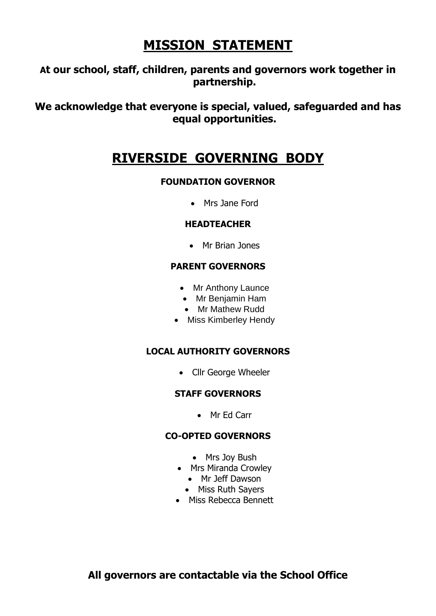# **MISSION STATEMENT**

## **At our school, staff, children, parents and governors work together in partnership.**

**We acknowledge that everyone is special, valued, safeguarded and has equal opportunities.**

## **RIVERSIDE GOVERNING BODY**

### **FOUNDATION GOVERNOR**

Mrs Jane Ford

### **HEADTEACHER**

Mr Brian Jones

### **PARENT GOVERNORS**

- Mr Anthony Launce
- Mr Benjamin Ham
- Mr Mathew Rudd
- Miss Kimberley Hendy

### **LOCAL AUTHORITY GOVERNORS**

• Cllr George Wheeler

### **STAFF GOVERNORS**

• Mr Fd Carr

### **CO-OPTED GOVERNORS**

- Mrs Joy Bush
- Mrs Miranda Crowley
	- Mr Jeff Dawson
	- Miss Ruth Sayers
- Miss Rebecca Bennett

**All governors are contactable via the School Office**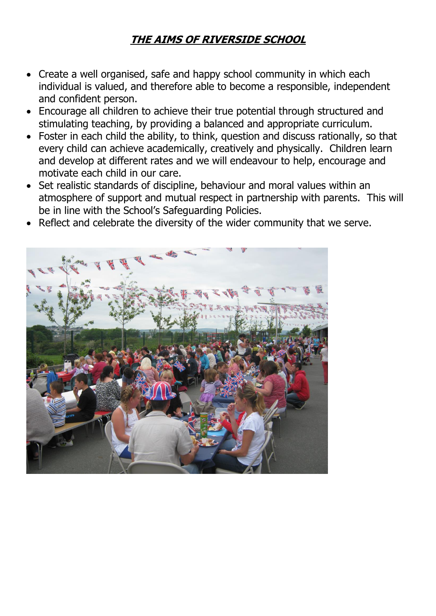## **THE AIMS OF RIVERSIDE SCHOOL**

- Create a well organised, safe and happy school community in which each individual is valued, and therefore able to become a responsible, independent and confident person.
- Encourage all children to achieve their true potential through structured and stimulating teaching, by providing a balanced and appropriate curriculum.
- Foster in each child the ability, to think, question and discuss rationally, so that every child can achieve academically, creatively and physically. Children learn and develop at different rates and we will endeavour to help, encourage and motivate each child in our care.
- Set realistic standards of discipline, behaviour and moral values within an atmosphere of support and mutual respect in partnership with parents. This will be in line with the School's Safeguarding Policies.
- Reflect and celebrate the diversity of the wider community that we serve.

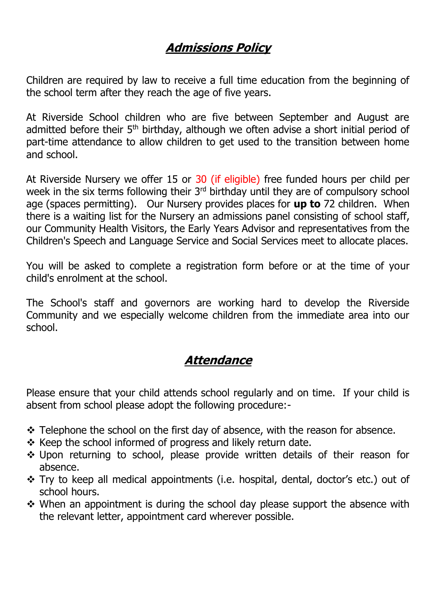## **Admissions Policy**

Children are required by law to receive a full time education from the beginning of the school term after they reach the age of five years.

At Riverside School children who are five between September and August are admitted before their 5<sup>th</sup> birthday, although we often advise a short initial period of part-time attendance to allow children to get used to the transition between home and school.

At Riverside Nursery we offer 15 or 30 (if eligible) free funded hours per child per week in the six terms following their 3<sup>rd</sup> birthday until they are of compulsory school age (spaces permitting). Our Nursery provides places for **up to** 72 children. When there is a waiting list for the Nursery an admissions panel consisting of school staff, our Community Health Visitors, the Early Years Advisor and representatives from the Children's Speech and Language Service and Social Services meet to allocate places.

You will be asked to complete a registration form before or at the time of your child's enrolment at the school.

The School's staff and governors are working hard to develop the Riverside Community and we especially welcome children from the immediate area into our school.

## **Attendance**

Please ensure that your child attends school regularly and on time. If your child is absent from school please adopt the following procedure:-

- Telephone the school on the first day of absence, with the reason for absence.
- $\triangle$  Keep the school informed of progress and likely return date.
- Upon returning to school, please provide written details of their reason for absence.
- \* Try to keep all medical appointments (i.e. hospital, dental, doctor's etc.) out of school hours.
- When an appointment is during the school day please support the absence with the relevant letter, appointment card wherever possible.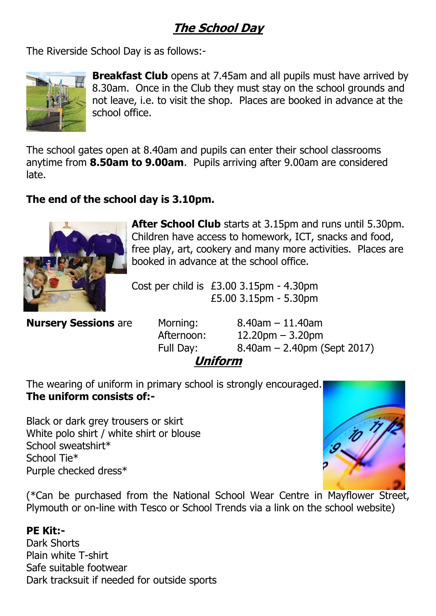## **The School Day**

The Riverside School Day is as follows:-



**Breakfast Club** opens at 7.45am and all pupils must have arrived by 8.30am. Once in the Club they must stay on the school grounds and not leave, i.e. to visit the shop. Places are booked in advance at the school office.

The school gates open at 8.40am and pupils can enter their school classrooms anytime from **8.50am to 9.00am**. Pupils arriving after 9.00am are considered late.

## **The end of the school day is 3.10pm.**



**After School Club** starts at 3.15pm and runs until 5.30pm. Children have access to homework, ICT, snacks and food, free play, art, cookery and many more activities. Places are booked in advance at the school office.

Cost per child is £3.00 3.15pm - 4.30pm £5.00 3.15pm - 5.30pm

**Nursery Sessions** are Morning: 8.40am – 11.40am

 Afternoon: 12.20pm – 3.20pm Full Day: 8.40am – 2.40pm (Sept 2017)

# **Uniform**

The wearing of uniform in primary school is strongly encouraged. **The uniform consists of:-**

Black or dark grey trousers or skirt White polo shirt / white shirt or blouse School sweatshirt\* School Tie\* Purple checked dress\*



(\*Can be purchased from the National School Wear Centre in Mayflower Street, Plymouth or on-line with Tesco or School Trends via a link on the school website)

## **PE Kit:-**

Dark Shorts Plain white T-shirt Safe suitable footwear Dark tracksuit if needed for outside sports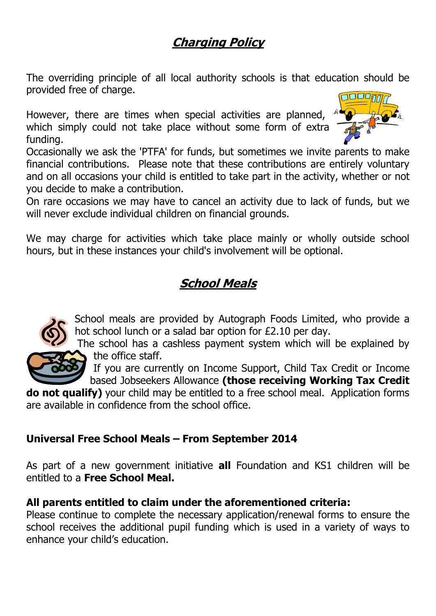## **Charging Policy**

The overriding principle of all local authority schools is that education should be provided free of charge.

However, there are times when special activities are planned, which simply could not take place without some form of extra funding.



Occasionally we ask the 'PTFA' for funds, but sometimes we invite parents to make financial contributions. Please note that these contributions are entirely voluntary and on all occasions your child is entitled to take part in the activity, whether or not you decide to make a contribution.

On rare occasions we may have to cancel an activity due to lack of funds, but we will never exclude individual children on financial grounds.

We may charge for activities which take place mainly or wholly outside school hours, but in these instances your child's involvement will be optional.

# **School Meals**



School meals are provided by Autograph Foods Limited, who provide a hot school lunch or a salad bar option for £2.10 per day.

The school has a cashless payment system which will be explained by the office staff.

If you are currently on Income Support, Child Tax Credit or Income based Jobseekers Allowance **(those receiving Working Tax Credit** 

**do not qualify)** your child may be entitled to a free school meal. Application forms are available in confidence from the school office.

## **Universal Free School Meals – From September 2014**

As part of a new government initiative **all** Foundation and KS1 children will be entitled to a **Free School Meal.** 

## **All parents entitled to claim under the aforementioned criteria:**

Please continue to complete the necessary application/renewal forms to ensure the school receives the additional pupil funding which is used in a variety of ways to enhance your child's education.